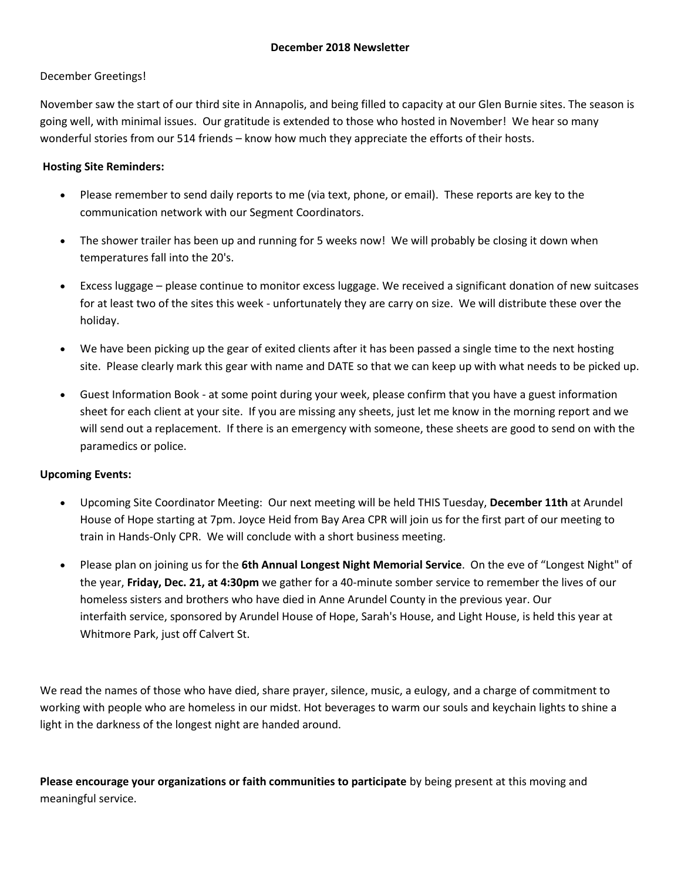### December Greetings!

November saw the start of our third site in Annapolis, and being filled to capacity at our Glen Burnie sites. The season is going well, with minimal issues. Our gratitude is extended to those who hosted in November! We hear so many wonderful stories from our 514 friends – know how much they appreciate the efforts of their hosts.

### **Hosting Site Reminders:**

- Please remember to send daily reports to me (via text, phone, or email). These reports are key to the communication network with our Segment Coordinators.
- The shower trailer has been up and running for 5 weeks now! We will probably be closing it down when temperatures fall into the 20's.
- Excess luggage please continue to monitor excess luggage. We received a significant donation of new suitcases for at least two of the sites this week - unfortunately they are carry on size. We will distribute these over the holiday.
- We have been picking up the gear of exited clients after it has been passed a single time to the next hosting site. Please clearly mark this gear with name and DATE so that we can keep up with what needs to be picked up.
- Guest Information Book at some point during your week, please confirm that you have a guest information sheet for each client at your site. If you are missing any sheets, just let me know in the morning report and we will send out a replacement. If there is an emergency with someone, these sheets are good to send on with the paramedics or police.

### **Upcoming Events:**

- Upcoming Site Coordinator Meeting: Our next meeting will be held THIS Tuesday, **December 11th** at Arundel House of Hope starting at 7pm. Joyce Heid from Bay Area CPR will join us for the first part of our meeting to train in Hands-Only CPR. We will conclude with a short business meeting.
- Please plan on joining us for the **6th Annual Longest Night Memorial Service**. On the eve of "Longest Night" of the year, **Friday, Dec. 21, at 4:30pm** we gather for a 40-minute somber service to remember the lives of our homeless sisters and brothers who have died in Anne Arundel County in the previous year. Our interfaith service, sponsored by Arundel House of Hope, Sarah's House, and Light House, is held this year at Whitmore Park, just off Calvert St.

We read the names of those who have died, share prayer, silence, music, a eulogy, and a charge of commitment to working with people who are homeless in our midst. Hot beverages to warm our souls and keychain lights to shine a light in the darkness of the longest night are handed around.

**Please encourage your organizations or faith communities to participate** by being present at this moving and meaningful service.